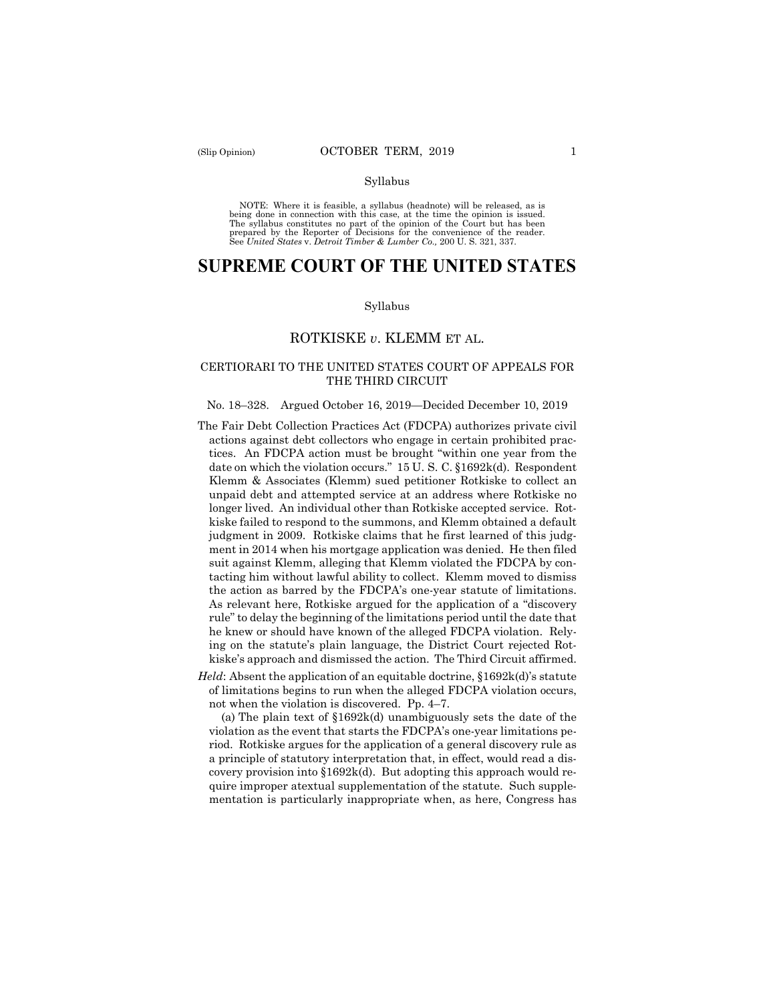#### Syllabus

 NOTE: Where it is feasible, a syllabus (headnote) will be released, as is being done in connection with this case, at the time the opinion is issued. The syllabus constitutes no part of the opinion of the Court but has been<br>prepared by the Reporter of Decisions for the convenience of the reader.<br>See United States v. Detroit Timber & Lumber Co., 200 U.S. 321, 337.

# **SUPREME COURT OF THE UNITED STATES**

#### Syllabus

## ROTKISKE *v*. KLEMM ET AL.

## CERTIORARI TO THE UNITED STATES COURT OF APPEALS FOR THE THIRD CIRCUIT

#### No. 18–328. Argued October 16, 2019—Decided December 10, 2019

- The Fair Debt Collection Practices Act (FDCPA) authorizes private civil actions against debt collectors who engage in certain prohibited practices. An FDCPA action must be brought "within one year from the date on which the violation occurs." 15 U. S. C. §1692k(d). Respondent Klemm & Associates (Klemm) sued petitioner Rotkiske to collect an unpaid debt and attempted service at an address where Rotkiske no longer lived. An individual other than Rotkiske accepted service. Rotkiske failed to respond to the summons, and Klemm obtained a default judgment in 2009. Rotkiske claims that he first learned of this judgment in 2014 when his mortgage application was denied. He then filed suit against Klemm, alleging that Klemm violated the FDCPA by contacting him without lawful ability to collect. Klemm moved to dismiss the action as barred by the FDCPA's one-year statute of limitations. As relevant here, Rotkiske argued for the application of a "discovery rule" to delay the beginning of the limitations period until the date that he knew or should have known of the alleged FDCPA violation. Relying on the statute's plain language, the District Court rejected Rotkiske's approach and dismissed the action. The Third Circuit affirmed.
- *Held*: Absent the application of an equitable doctrine, §1692k(d)'s statute of limitations begins to run when the alleged FDCPA violation occurs, not when the violation is discovered. Pp. 4–7.

(a) The plain text of §1692k(d) unambiguously sets the date of the violation as the event that starts the FDCPA's one-year limitations period. Rotkiske argues for the application of a general discovery rule as a principle of statutory interpretation that, in effect, would read a discovery provision into §1692k(d). But adopting this approach would require improper atextual supplementation of the statute. Such supplementation is particularly inappropriate when, as here, Congress has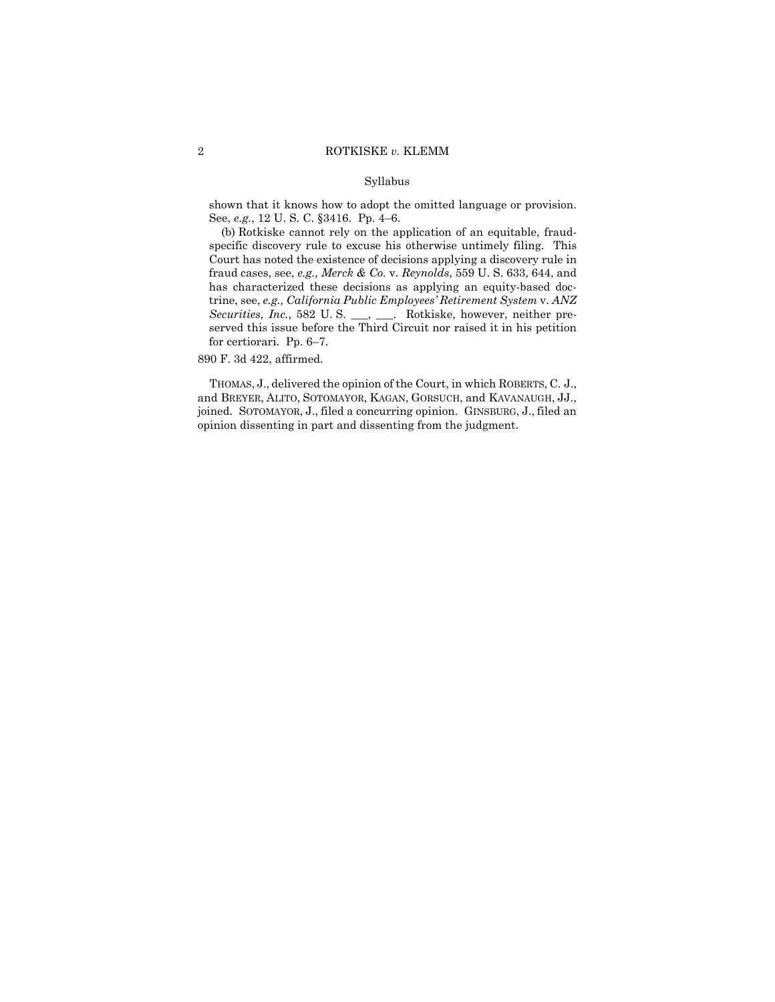### Syllabus

shown that it knows how to adopt the omitted language or provision. See, *e.g.*, 12 U. S. C. §3416. Pp. 4–6.

(b) Rotkiske cannot rely on the application of an equitable, fraudspecific discovery rule to excuse his otherwise untimely filing. This Court has noted the existence of decisions applying a discovery rule in fraud cases, see, *e.g., Merck & Co.* v. *Reynolds*, 559 U. S. 633, 644, and has characterized these decisions as applying an equity-based doctrine, see, *e.g., California Public Employees' Retirement System* v. *ANZ Securities, Inc.*, 582 U. S. \_\_\_, \_\_\_. Rotkiske, however, neither preserved this issue before the Third Circuit nor raised it in his petition for certiorari. Pp. 6–7.

890 F. 3d 422, affirmed.

 THOMAS, J., delivered the opinion of the Court, in which ROBERTS, C. J., and BREYER, ALITO, SOTOMAYOR, KAGAN, GORSUCH, and KAVANAUGH, JJ., joined. SOTOMAYOR, J., filed a concurring opinion. GINSBURG, J., filed an opinion dissenting in part and dissenting from the judgment.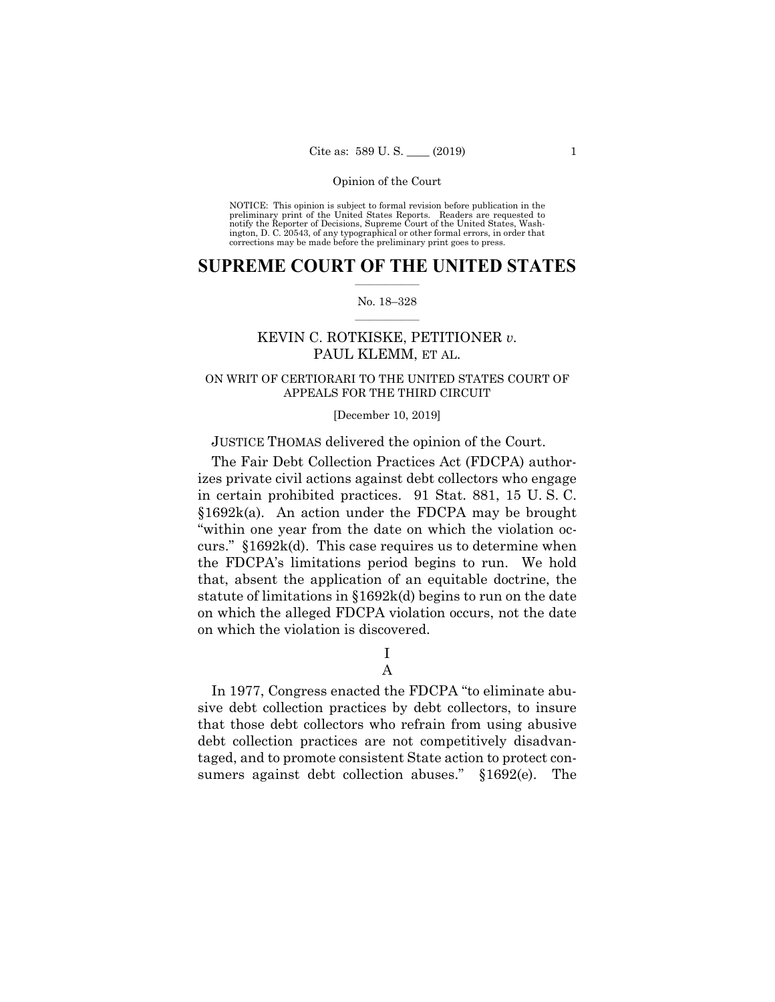NOTICE: This opinion is subject to formal revision before publication in the preliminary print of the United States Reports. Readers are requested to notify the Reporter of Decisions, Supreme Court of the United States, Wash-ington, D. C. 20543, of any typographical or other formal errors, in order that corrections may be made before the preliminary print goes to press.

## $\frac{1}{2}$  , where  $\frac{1}{2}$ **SUPREME COURT OF THE UNITED STATES**

#### $\frac{1}{2}$  ,  $\frac{1}{2}$  ,  $\frac{1}{2}$  ,  $\frac{1}{2}$  ,  $\frac{1}{2}$  ,  $\frac{1}{2}$ No. 18–328

## KEVIN C. ROTKISKE, PETITIONER *v.*  PAUL KLEMM, ET AL.

## ON WRIT OF CERTIORARI TO THE UNITED STATES COURT OF APPEALS FOR THE THIRD CIRCUIT

#### [December 10, 2019]

## JUSTICE THOMAS delivered the opinion of the Court.

The Fair Debt Collection Practices Act (FDCPA) authorizes private civil actions against debt collectors who engage in certain prohibited practices. 91 Stat. 881, 15 U. S. C. §1692k(a). An action under the FDCPA may be brought "within one year from the date on which the violation occurs." §1692k(d). This case requires us to determine when the FDCPA's limitations period begins to run. We hold that, absent the application of an equitable doctrine, the statute of limitations in §1692k(d) begins to run on the date on which the alleged FDCPA violation occurs, not the date on which the violation is discovered.

> I A

In 1977, Congress enacted the FDCPA "to eliminate abusive debt collection practices by debt collectors, to insure that those debt collectors who refrain from using abusive debt collection practices are not competitively disadvantaged, and to promote consistent State action to protect consumers against debt collection abuses." §1692(e). The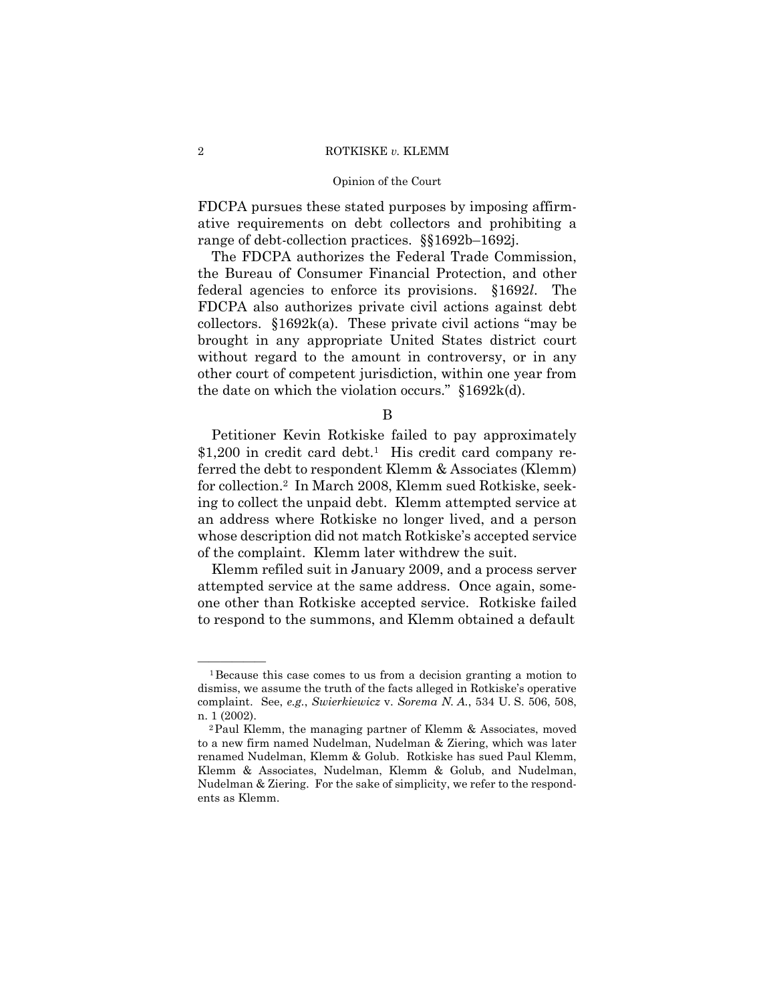#### Opinion of the Court

FDCPA pursues these stated purposes by imposing affirmative requirements on debt collectors and prohibiting a range of debt-collection practices. §§1692b–1692j.

The FDCPA authorizes the Federal Trade Commission, the Bureau of Consumer Financial Protection, and other federal agencies to enforce its provisions. §1692*l*. The FDCPA also authorizes private civil actions against debt collectors.  $§1692k(a)$ . These private civil actions "may be brought in any appropriate United States district court without regard to the amount in controversy, or in any other court of competent jurisdiction, within one year from the date on which the violation occurs." §1692k(d).

B

Petitioner Kevin Rotkiske failed to pay approximately  $$1,200$  in credit card debt.<sup>1</sup> His credit card company referred the debt to respondent Klemm & Associates (Klemm) for collection.2 In March 2008, Klemm sued Rotkiske, seeking to collect the unpaid debt. Klemm attempted service at an address where Rotkiske no longer lived, and a person whose description did not match Rotkiske's accepted service of the complaint. Klemm later withdrew the suit.

Klemm refiled suit in January 2009, and a process server attempted service at the same address. Once again, someone other than Rotkiske accepted service. Rotkiske failed to respond to the summons, and Klemm obtained a default

 ${}^{1}$ Because this case comes to us from a decision granting a motion to dismiss, we assume the truth of the facts alleged in Rotkiske's operative complaint. See, *e.g.*, *Swierkiewicz* v. *Sorema N. A.*, 534 U. S. 506, 508, n. 1 (2002).<br><sup>2</sup>Paul Klemm, the managing partner of Klemm & Associates, moved

to a new firm named Nudelman, Nudelman & Ziering, which was later renamed Nudelman, Klemm & Golub. Rotkiske has sued Paul Klemm, Klemm & Associates, Nudelman, Klemm & Golub, and Nudelman, Nudelman & Ziering. For the sake of simplicity, we refer to the respondents as Klemm.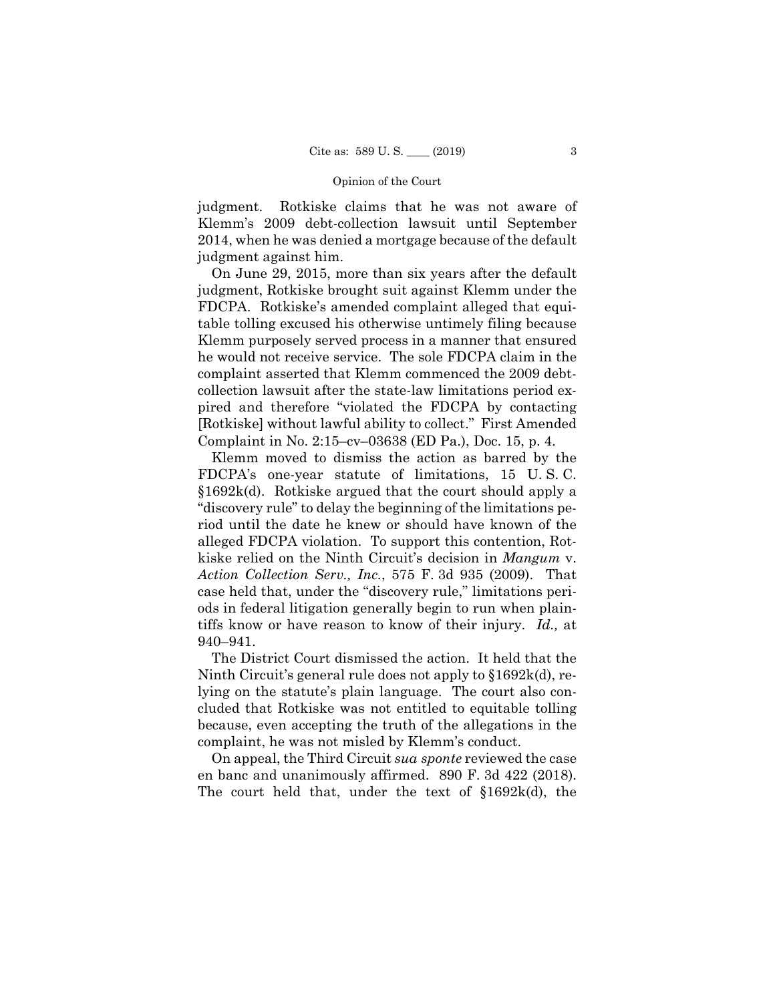judgment. Rotkiske claims that he was not aware of Klemm's 2009 debt-collection lawsuit until September 2014, when he was denied a mortgage because of the default judgment against him.

On June 29, 2015, more than six years after the default judgment, Rotkiske brought suit against Klemm under the FDCPA. Rotkiske's amended complaint alleged that equitable tolling excused his otherwise untimely filing because Klemm purposely served process in a manner that ensured he would not receive service. The sole FDCPA claim in the complaint asserted that Klemm commenced the 2009 debtcollection lawsuit after the state-law limitations period expired and therefore "violated the FDCPA by contacting [Rotkiske] without lawful ability to collect." First Amended Complaint in No. 2:15–cv–03638 (ED Pa.), Doc. 15, p. 4.

Klemm moved to dismiss the action as barred by the FDCPA's one-year statute of limitations, 15 U. S. C. §1692k(d). Rotkiske argued that the court should apply a "discovery rule" to delay the beginning of the limitations period until the date he knew or should have known of the alleged FDCPA violation. To support this contention, Rotkiske relied on the Ninth Circuit's decision in *Mangum* v. *Action Collection Serv., Inc.*, 575 F. 3d 935 (2009). That case held that, under the "discovery rule," limitations periods in federal litigation generally begin to run when plaintiffs know or have reason to know of their injury. *Id.,* at 940–941.

The District Court dismissed the action. It held that the Ninth Circuit's general rule does not apply to §1692k(d), relying on the statute's plain language. The court also concluded that Rotkiske was not entitled to equitable tolling because, even accepting the truth of the allegations in the complaint, he was not misled by Klemm's conduct.

On appeal, the Third Circuit *sua sponte* reviewed the case en banc and unanimously affirmed. 890 F. 3d 422 (2018). The court held that, under the text of §1692k(d), the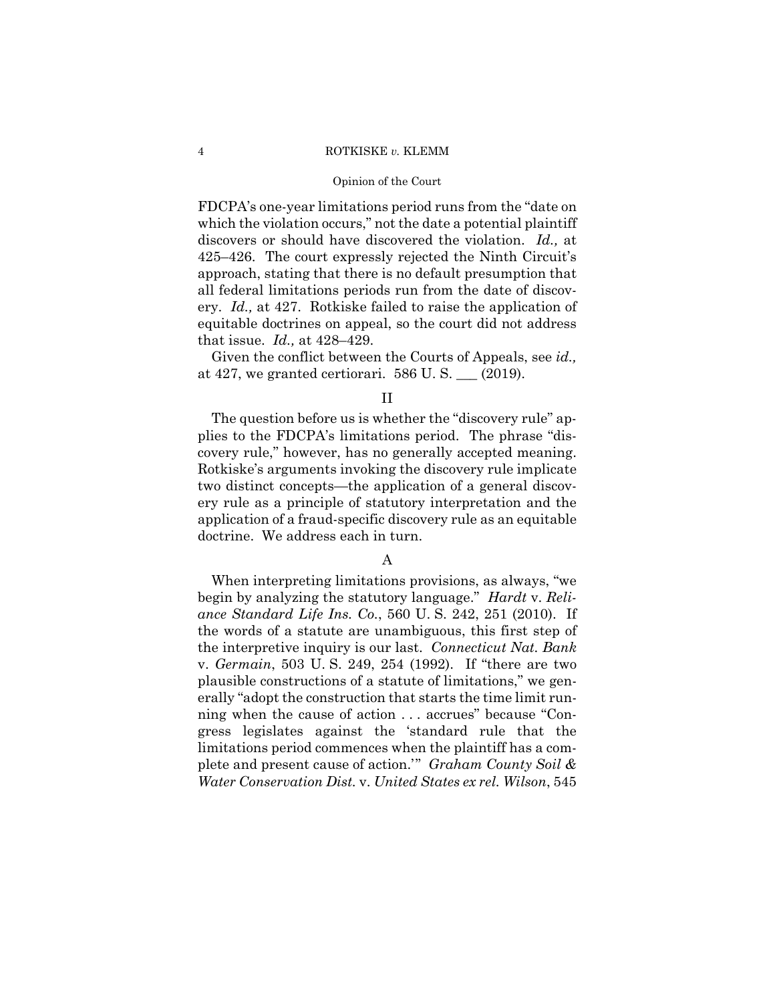#### Opinion of the Court

FDCPA's one-year limitations period runs from the "date on which the violation occurs," not the date a potential plaintiff discovers or should have discovered the violation. *Id.,* at 425–426. The court expressly rejected the Ninth Circuit's approach, stating that there is no default presumption that all federal limitations periods run from the date of discovery. *Id.,* at 427. Rotkiske failed to raise the application of equitable doctrines on appeal, so the court did not address that issue. *Id.,* at 428–429.

Given the conflict between the Courts of Appeals, see *id.,*  at 427, we granted certiorari.  $586$  U.S.  $\_\_$  (2019).

### II

The question before us is whether the "discovery rule" applies to the FDCPA's limitations period. The phrase "discovery rule," however, has no generally accepted meaning. Rotkiske's arguments invoking the discovery rule implicate two distinct concepts—the application of a general discovery rule as a principle of statutory interpretation and the application of a fraud-specific discovery rule as an equitable doctrine. We address each in turn.

## A

When interpreting limitations provisions, as always, "we begin by analyzing the statutory language." *Hardt* v. *Reliance Standard Life Ins. Co.*, 560 U. S. 242, 251 (2010). If the words of a statute are unambiguous, this first step of the interpretive inquiry is our last. *Connecticut Nat. Bank*  v. *Germain*, 503 U. S. 249, 254 (1992). If "there are two plausible constructions of a statute of limitations," we generally "adopt the construction that starts the time limit running when the cause of action . . . accrues" because "Congress legislates against the 'standard rule that the limitations period commences when the plaintiff has a complete and present cause of action.'" *Graham County Soil & Water Conservation Dist.* v. *United States ex rel. Wilson*, 545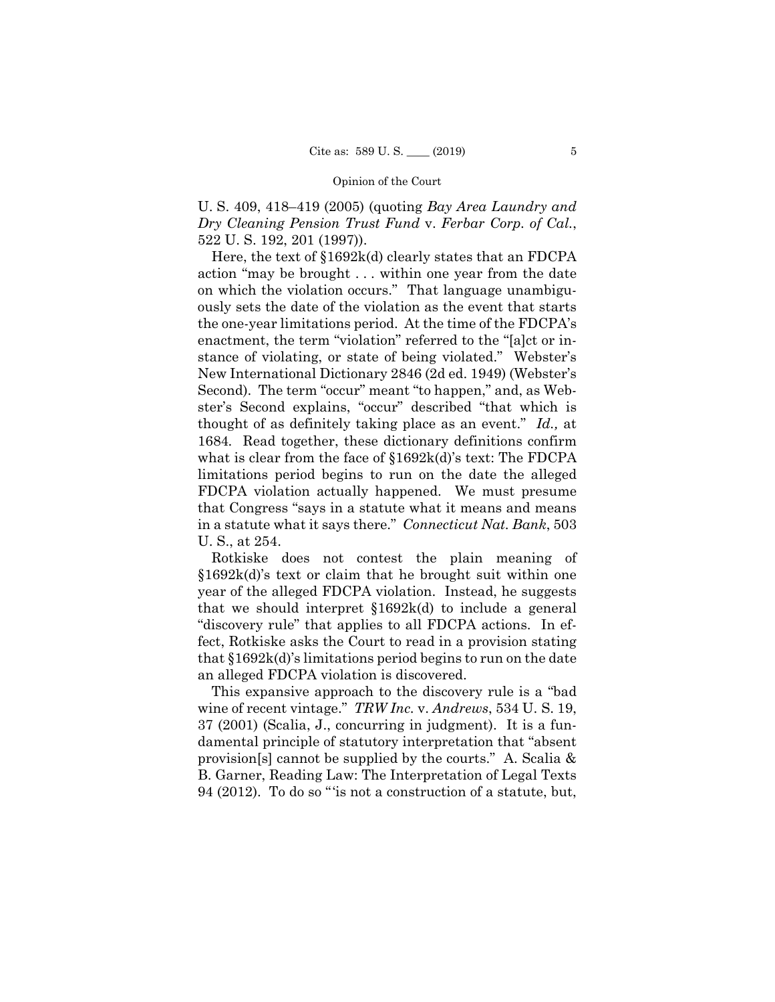U. S. 409, 418–419 (2005) (quoting *Bay Area Laundry and Dry Cleaning Pension Trust Fund* v. *Ferbar Corp. of Cal.*, 522 U. S. 192, 201 (1997)).

Here, the text of §1692k(d) clearly states that an FDCPA action "may be brought . . . within one year from the date on which the violation occurs." That language unambiguously sets the date of the violation as the event that starts the one-year limitations period. At the time of the FDCPA's enactment, the term "violation" referred to the "[a]ct or instance of violating, or state of being violated." Webster's New International Dictionary 2846 (2d ed. 1949) (Webster's Second). The term "occur" meant "to happen," and, as Webster's Second explains, "occur" described "that which is thought of as definitely taking place as an event." *Id.,* at 1684*.* Read together, these dictionary definitions confirm what is clear from the face of §1692k(d)'s text: The FDCPA limitations period begins to run on the date the alleged FDCPA violation actually happened. We must presume that Congress "says in a statute what it means and means in a statute what it says there." *Connecticut Nat. Bank*, 503 U. S., at 254.

Rotkiske does not contest the plain meaning of §1692k(d)'s text or claim that he brought suit within one year of the alleged FDCPA violation. Instead, he suggests that we should interpret §1692k(d) to include a general "discovery rule" that applies to all FDCPA actions. In effect, Rotkiske asks the Court to read in a provision stating that §1692k(d)'s limitations period begins to run on the date an alleged FDCPA violation is discovered.

This expansive approach to the discovery rule is a "bad wine of recent vintage." *TRW Inc.* v. *Andrews*, 534 U. S. 19, 37 (2001) (Scalia, J., concurring in judgment). It is a fundamental principle of statutory interpretation that "absent provision[s] cannot be supplied by the courts." A. Scalia & B. Garner, Reading Law: The Interpretation of Legal Texts 94 (2012). To do so "'is not a construction of a statute, but,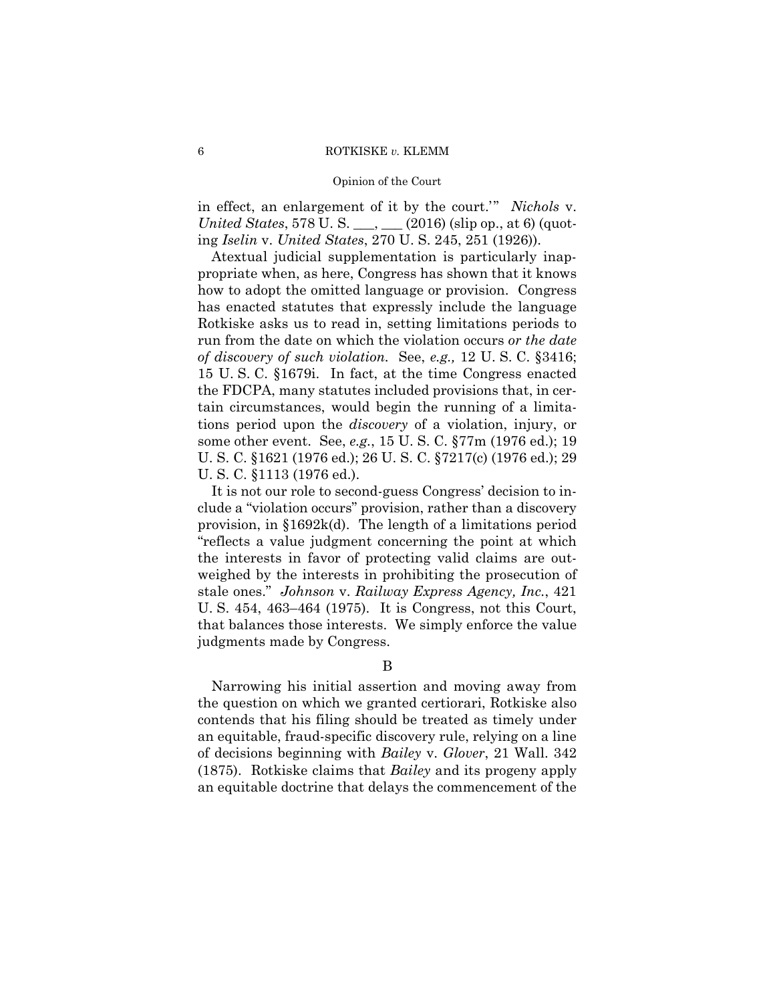#### Opinion of the Court

in effect, an enlargement of it by the court.'" *Nichols* v. *United States*, 578 U. S. \_\_\_, \_\_\_ (2016) (slip op., at 6) (quoting *Iselin* v. *United States*, 270 U. S. 245, 251 (1926)).

 some other event. See, *e.g.*, 15 U. S. C. §77m (1976 ed.); 19 Atextual judicial supplementation is particularly inappropriate when, as here, Congress has shown that it knows how to adopt the omitted language or provision. Congress has enacted statutes that expressly include the language Rotkiske asks us to read in, setting limitations periods to run from the date on which the violation occurs *or the date of discovery of such violation.* See, *e.g.,* 12 U. S. C. §3416; 15 U. S. C. §1679i. In fact, at the time Congress enacted the FDCPA, many statutes included provisions that, in certain circumstances, would begin the running of a limitations period upon the *discovery* of a violation, injury, or U. S. C. §1621 (1976 ed.); 26 U. S. C. §7217(c) (1976 ed.); 29 U. S. C. §1113 (1976 ed.).

 stale ones." *Johnson* v. *Railway Express Agency, Inc.*, 421 It is not our role to second-guess Congress' decision to include a "violation occurs" provision, rather than a discovery provision, in §1692k(d). The length of a limitations period "reflects a value judgment concerning the point at which the interests in favor of protecting valid claims are outweighed by the interests in prohibiting the prosecution of U. S. 454, 463–464 (1975). It is Congress, not this Court, that balances those interests. We simply enforce the value judgments made by Congress.

#### B

Narrowing his initial assertion and moving away from the question on which we granted certiorari, Rotkiske also contends that his filing should be treated as timely under an equitable, fraud-specific discovery rule, relying on a line of decisions beginning with *Bailey* v. *Glover*, 21 Wall. 342 (1875). Rotkiske claims that *Bailey* and its progeny apply an equitable doctrine that delays the commencement of the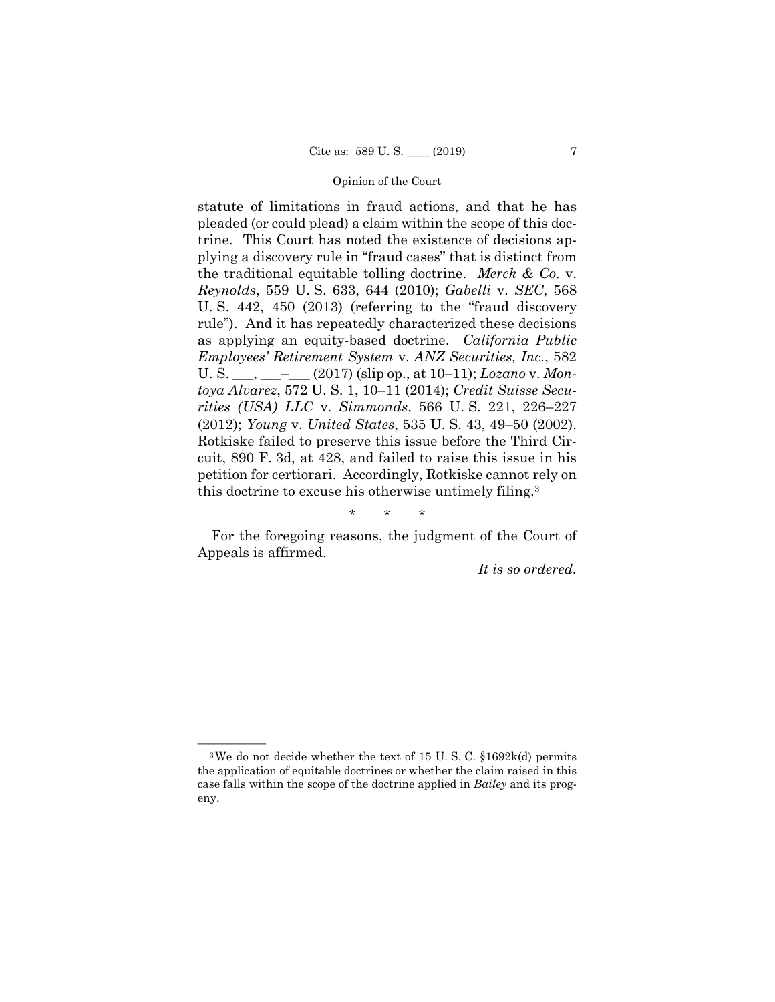statute of limitations in fraud actions, and that he has pleaded (or could plead) a claim within the scope of this doctrine. This Court has noted the existence of decisions applying a discovery rule in "fraud cases" that is distinct from the traditional equitable tolling doctrine. *Merck & Co.* v. *Reynolds*, 559 U. S. 633, 644 (2010); *Gabelli* v. *SEC*, 568 U. S. 442, 450 (2013) (referring to the "fraud discovery rule"). And it has repeatedly characterized these decisions as applying an equity-based doctrine. *California Public Employees' Retirement System* v. *ANZ Securities, Inc.*, 582 U. S. \_\_\_, \_\_\_–\_\_\_ (2017) (slip op., at 10–11); *Lozano* v. *Montoya Alvarez*, 572 U. S. 1, 10–11 (2014); *Credit Suisse Securities (USA) LLC* v. *Simmonds*, 566 U. S. 221, 226–227 (2012); *Young* v. *United States*, 535 U. S. 43, 49–50 (2002). Rotkiske failed to preserve this issue before the Third Circuit, 890 F. 3d, at 428, and failed to raise this issue in his petition for certiorari. Accordingly, Rotkiske cannot rely on this doctrine to excuse his otherwise untimely filing.3

\* \* \*

For the foregoing reasons, the judgment of the Court of Appeals is affirmed.

*It is so ordered.* 

<sup>&</sup>lt;sup>3</sup>We do not decide whether the text of 15 U.S.C.  $$1692k(d)$  permits the application of equitable doctrines or whether the claim raised in this case falls within the scope of the doctrine applied in *Bailey* and its progeny.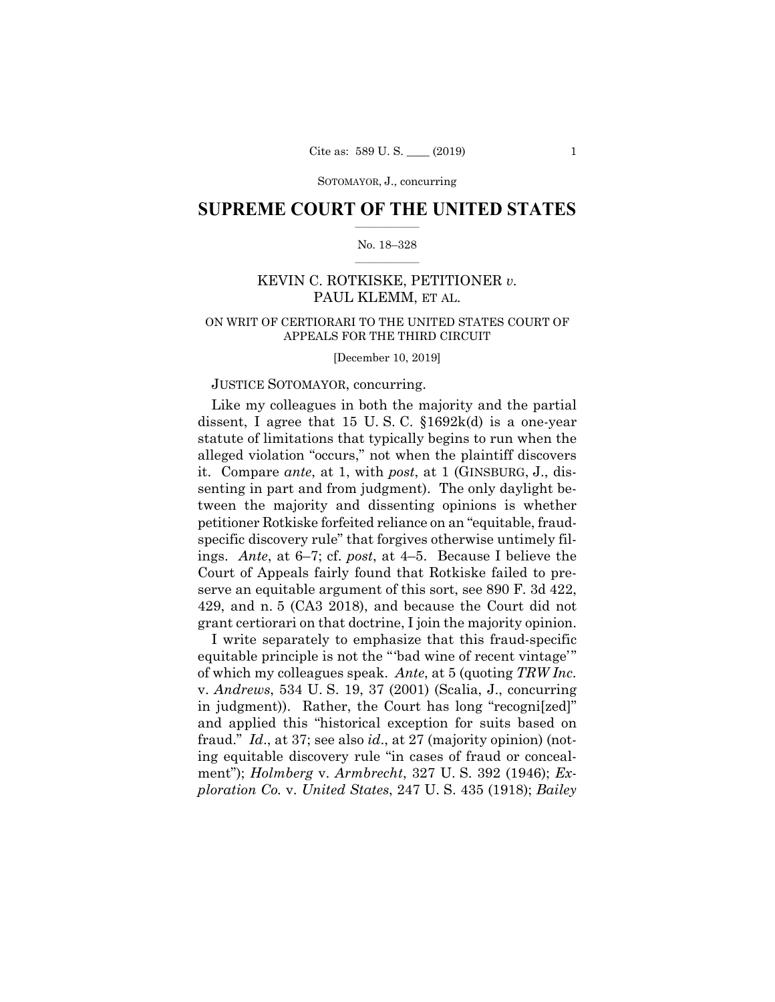SOTOMAYOR, J., concurring

## $\frac{1}{2}$  , where  $\frac{1}{2}$ **SUPREME COURT OF THE UNITED STATES**

#### $\frac{1}{2}$  ,  $\frac{1}{2}$  ,  $\frac{1}{2}$  ,  $\frac{1}{2}$  ,  $\frac{1}{2}$  ,  $\frac{1}{2}$ No. 18–328

## KEVIN C. ROTKISKE, PETITIONER *v.*  PAUL KLEMM, ET AL.

## ON WRIT OF CERTIORARI TO THE UNITED STATES COURT OF APPEALS FOR THE THIRD CIRCUIT

[December 10, 2019]

## JUSTICE SOTOMAYOR, concurring.

Like my colleagues in both the majority and the partial dissent, I agree that 15 U.S.C.  $\S 1692k(d)$  is a one-year statute of limitations that typically begins to run when the alleged violation "occurs," not when the plaintiff discovers it. Compare *ante*, at 1, with *post*, at 1 (GINSBURG, J., dissenting in part and from judgment). The only daylight between the majority and dissenting opinions is whether petitioner Rotkiske forfeited reliance on an "equitable, fraudspecific discovery rule" that forgives otherwise untimely filings. *Ante*, at 6–7; cf. *post*, at 4–5. Because I believe the Court of Appeals fairly found that Rotkiske failed to preserve an equitable argument of this sort, see 890 F. 3d 422, 429, and n. 5 (CA3 2018), and because the Court did not grant certiorari on that doctrine, I join the majority opinion.

I write separately to emphasize that this fraud-specific equitable principle is not the "'bad wine of recent vintage'" of which my colleagues speak. *Ante*, at 5 (quoting *TRW Inc.*  v. *Andrews*, 534 U. S. 19, 37 (2001) (Scalia, J., concurring in judgment)). Rather, the Court has long "recogni[zed]" and applied this "historical exception for suits based on fraud." *Id*., at 37; see also *id*., at 27 (majority opinion) (noting equitable discovery rule "in cases of fraud or concealment"); *Holmberg* v. *Armbrecht*, 327 U. S. 392 (1946); *Exploration Co.* v. *United States*, 247 U. S. 435 (1918); *Bailey*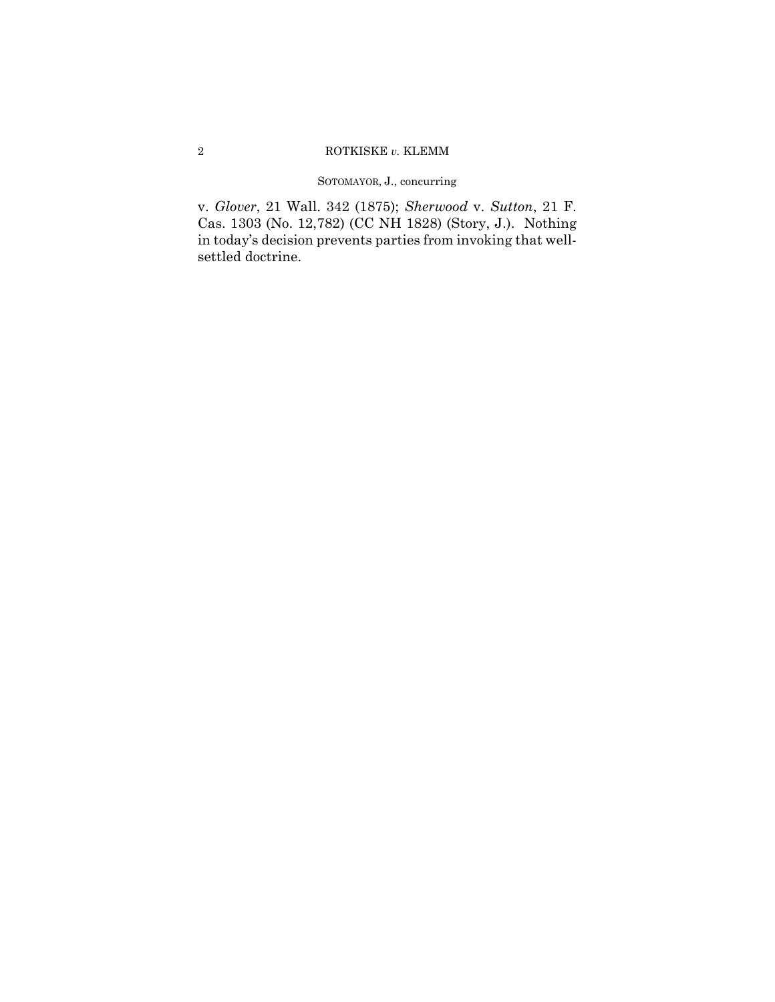## SOTOMAYOR, J., concurring

v. *Glover*, 21 Wall. 342 (1875); *Sherwood* v. *Sutton*, 21 F. Cas. 1303 (No. 12,782) (CC NH 1828) (Story, J.). Nothing in today's decision prevents parties from invoking that wellsettled doctrine.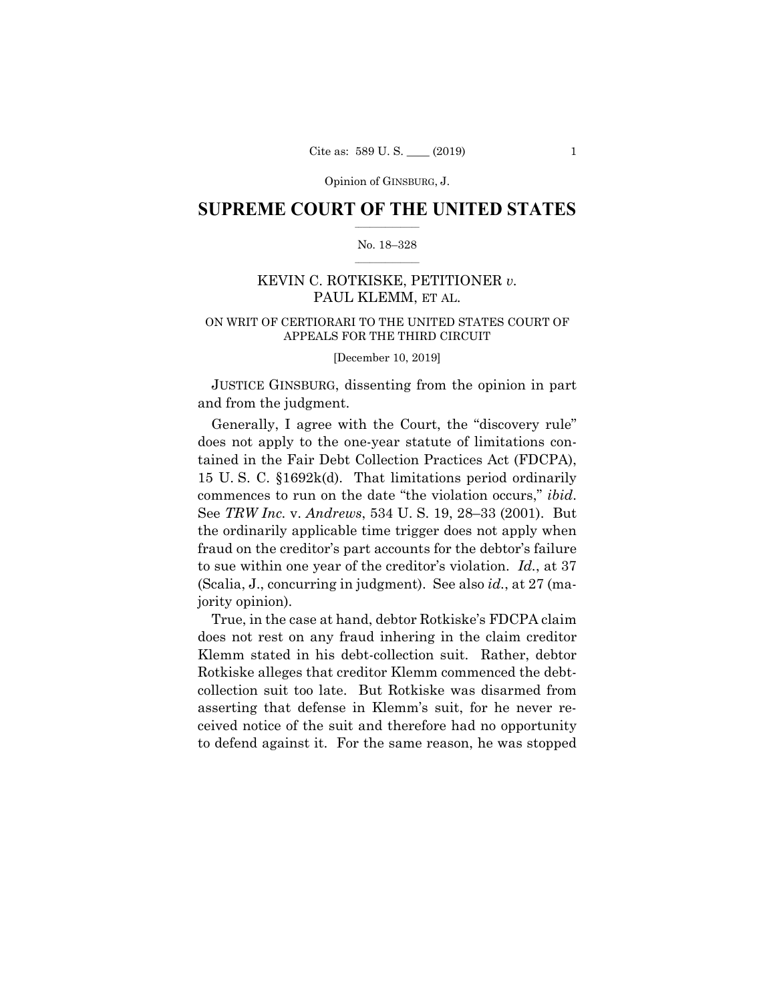## **SUPREME COURT OF THE UNITED STATES**  $\frac{1}{2}$  ,  $\frac{1}{2}$  ,  $\frac{1}{2}$  ,  $\frac{1}{2}$  ,  $\frac{1}{2}$  ,  $\frac{1}{2}$  ,  $\frac{1}{2}$

#### No. 18–328  $\frac{1}{2}$  ,  $\frac{1}{2}$  ,  $\frac{1}{2}$  ,  $\frac{1}{2}$  ,  $\frac{1}{2}$  ,  $\frac{1}{2}$

## KEVIN C. ROTKISKE, PETITIONER *v.* PAUL KLEMM, ET AL.

## ON WRIT OF CERTIORARI TO THE UNITED STATES COURT OF APPEALS FOR THE THIRD CIRCUIT

[December 10, 2019]

 JUSTICE GINSBURG, dissenting from the opinion in part and from the judgment.

 Generally, I agree with the Court, the "discovery rule" does not apply to the one-year statute of limitations contained in the Fair Debt Collection Practices Act (FDCPA), 15 U. S. C. §1692k(d). That limitations period ordinarily commences to run on the date "the violation occurs," *ibid*. See *TRW Inc.* v. *Andrews*, 534 U. S. 19, 28–33 (2001). But the ordinarily applicable time trigger does not apply when fraud on the creditor's part accounts for the debtor's failure to sue within one year of the creditor's violation. *Id.*, at 37 (Scalia, J., concurring in judgment). See also *id.*, at 27 (majority opinion).

 True, in the case at hand, debtor Rotkiske's FDCPA claim does not rest on any fraud inhering in the claim creditor Klemm stated in his debt-collection suit. Rather, debtor Rotkiske alleges that creditor Klemm commenced the debtcollection suit too late. But Rotkiske was disarmed from asserting that defense in Klemm's suit, for he never received notice of the suit and therefore had no opportunity to defend against it. For the same reason, he was stopped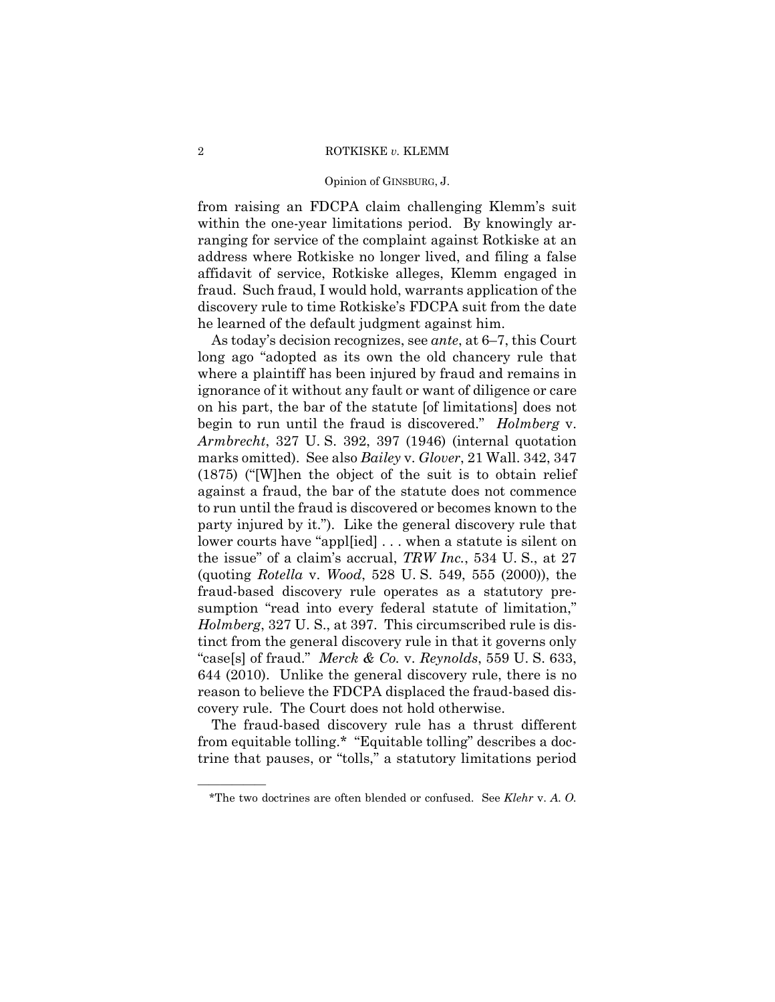#### Opinion of GINSBURG, J.

from raising an FDCPA claim challenging Klemm's suit within the one-year limitations period. By knowingly arranging for service of the complaint against Rotkiske at an address where Rotkiske no longer lived, and filing a false affidavit of service, Rotkiske alleges, Klemm engaged in fraud. Such fraud, I would hold, warrants application of the discovery rule to time Rotkiske's FDCPA suit from the date he learned of the default judgment against him.

As today's decision recognizes, see *ante*, at 6–7, this Court long ago "adopted as its own the old chancery rule that where a plaintiff has been injured by fraud and remains in ignorance of it without any fault or want of diligence or care on his part, the bar of the statute [of limitations] does not begin to run until the fraud is discovered." *Holmberg* v. *Armbrecht*, 327 U. S. 392, 397 (1946) (internal quotation marks omitted). See also *Bailey* v. *Glover*, 21 Wall. 342, 347 (1875) ("[W]hen the object of the suit is to obtain relief against a fraud, the bar of the statute does not commence to run until the fraud is discovered or becomes known to the party injured by it."). Like the general discovery rule that lower courts have "appl[ied] . . . when a statute is silent on the issue" of a claim's accrual, *TRW Inc.*, 534 U. S., at 27 (quoting *Rotella* v. *Wood*, 528 U. S. 549, 555 (2000)), the fraud-based discovery rule operates as a statutory presumption "read into every federal statute of limitation," *Holmberg*, 327 U. S., at 397. This circumscribed rule is distinct from the general discovery rule in that it governs only "case[s] of fraud." *Merck & Co.* v. *Reynolds*, 559 U. S. 633, 644 (2010). Unlike the general discovery rule, there is no reason to believe the FDCPA displaced the fraud-based discovery rule. The Court does not hold otherwise.

The fraud-based discovery rule has a thrust different from equitable tolling.\* "Equitable tolling" describes a doctrine that pauses, or "tolls," a statutory limitations period

——————

<sup>\*</sup>The two doctrines are often blended or confused. See *Klehr* v. *A. O.*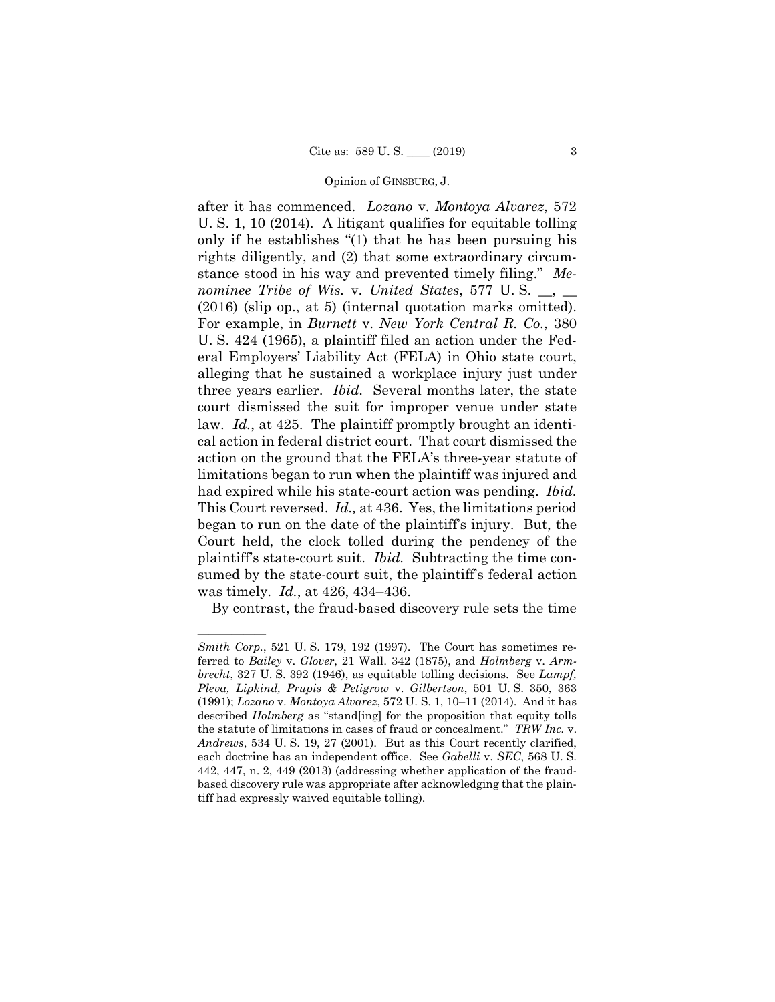after it has commenced. *Lozano* v. *Montoya Alvarez*, 572 U. S. 1, 10 (2014). A litigant qualifies for equitable tolling only if he establishes "(1) that he has been pursuing his rights diligently, and (2) that some extraordinary circumstance stood in his way and prevented timely filing." *Menominee Tribe of Wis.* v. *United States*, 577 U. S. \_\_, \_\_ (2016) (slip op., at 5) (internal quotation marks omitted). For example, in *Burnett* v. *New York Central R. Co.*, 380 U. S. 424 (1965), a plaintiff filed an action under the Federal Employers' Liability Act (FELA) in Ohio state court, alleging that he sustained a workplace injury just under three years earlier. *Ibid.* Several months later, the state court dismissed the suit for improper venue under state law. *Id.*, at 425. The plaintiff promptly brought an identical action in federal district court. That court dismissed the action on the ground that the FELA's three-year statute of limitations began to run when the plaintiff was injured and had expired while his state-court action was pending. *Ibid.*  This Court reversed. *Id.,* at 436. Yes, the limitations period began to run on the date of the plaintiff's injury. But, the Court held, the clock tolled during the pendency of the plaintiff's state-court suit. *Ibid.* Subtracting the time consumed by the state-court suit, the plaintiff's federal action was timely. *Id.*, at 426, 434–436.

By contrast, the fraud-based discovery rule sets the time

——————

*Smith Corp.*, 521 U. S. 179, 192 (1997). The Court has sometimes referred to *Bailey* v. *Glover*, 21 Wall. 342 (1875), and *Holmberg* v. *Armbrecht*, 327 U. S. 392 (1946), as equitable tolling decisions. See *Lampf, Pleva, Lipkind, Prupis & Petigrow* v. *Gilbertson*, 501 U. S. 350, 363 (1991); *Lozano* v. *Montoya Alvarez*, 572 U. S. 1, 10–11 (2014). And it has described *Holmberg* as "stand[ing] for the proposition that equity tolls the statute of limitations in cases of fraud or concealment." *TRW Inc.* v. *Andrews*, 534 U. S. 19, 27 (2001). But as this Court recently clarified, each doctrine has an independent office. See *Gabelli* v. *SEC*, 568 U. S. 442, 447, n. 2, 449 (2013) (addressing whether application of the fraudbased discovery rule was appropriate after acknowledging that the plaintiff had expressly waived equitable tolling).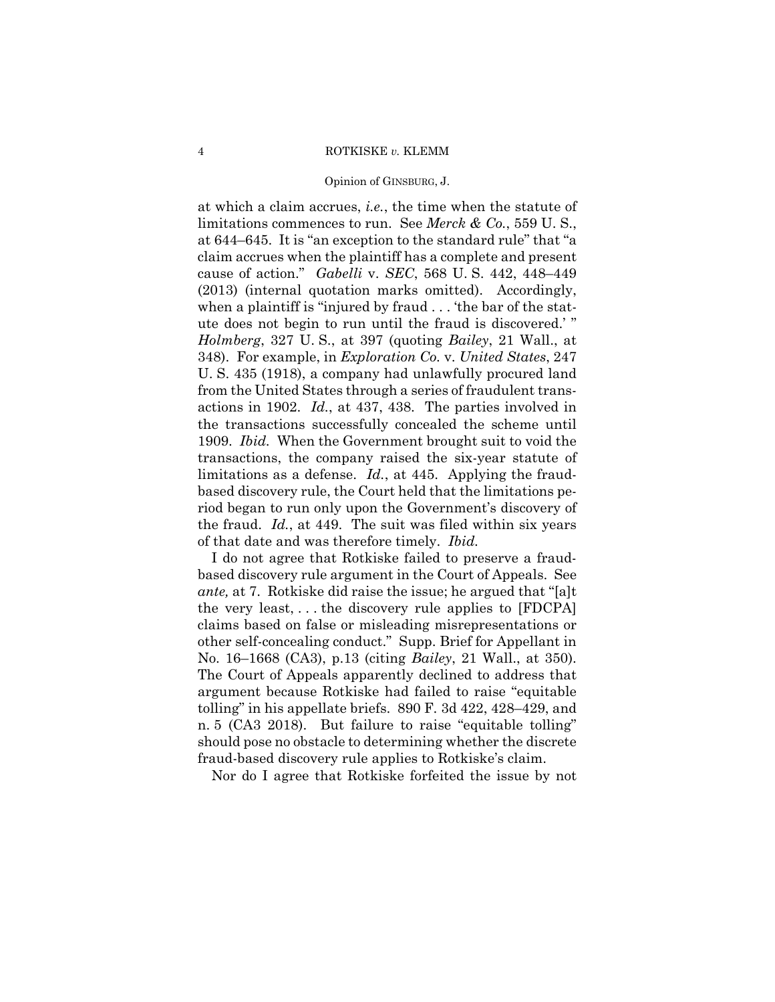#### Opinion of GINSBURG, J.

at which a claim accrues, *i.e.*, the time when the statute of limitations commences to run. See *Merck & Co.*, 559 U. S., at 644–645. It is "an exception to the standard rule" that "a claim accrues when the plaintiff has a complete and present cause of action." *Gabelli* v. *SEC*, 568 U. S. 442, 448–449 (2013) (internal quotation marks omitted). Accordingly, when a plaintiff is "injured by fraud . . . 'the bar of the statute does not begin to run until the fraud is discovered.' " *Holmberg*, 327 U. S., at 397 (quoting *Bailey*, 21 Wall., at 348). For example, in *Exploration Co.* v. *United States*, 247 U. S. 435 (1918), a company had unlawfully procured land from the United States through a series of fraudulent transactions in 1902. *Id.*, at 437, 438. The parties involved in the transactions successfully concealed the scheme until 1909. *Ibid.* When the Government brought suit to void the transactions, the company raised the six-year statute of limitations as a defense. *Id.*, at 445. Applying the fraudbased discovery rule, the Court held that the limitations period began to run only upon the Government's discovery of the fraud. *Id.*, at 449. The suit was filed within six years of that date and was therefore timely. *Ibid.* 

I do not agree that Rotkiske failed to preserve a fraudbased discovery rule argument in the Court of Appeals. See *ante,* at 7. Rotkiske did raise the issue; he argued that "[a]t the very least, . . . the discovery rule applies to [FDCPA] claims based on false or misleading misrepresentations or other self-concealing conduct." Supp. Brief for Appellant in No. 16–1668 (CA3), p.13 (citing *Bailey*, 21 Wall., at 350). The Court of Appeals apparently declined to address that argument because Rotkiske had failed to raise "equitable tolling" in his appellate briefs. 890 F. 3d 422, 428–429, and n. 5 (CA3 2018). But failure to raise "equitable tolling" should pose no obstacle to determining whether the discrete fraud-based discovery rule applies to Rotkiske's claim.

Nor do I agree that Rotkiske forfeited the issue by not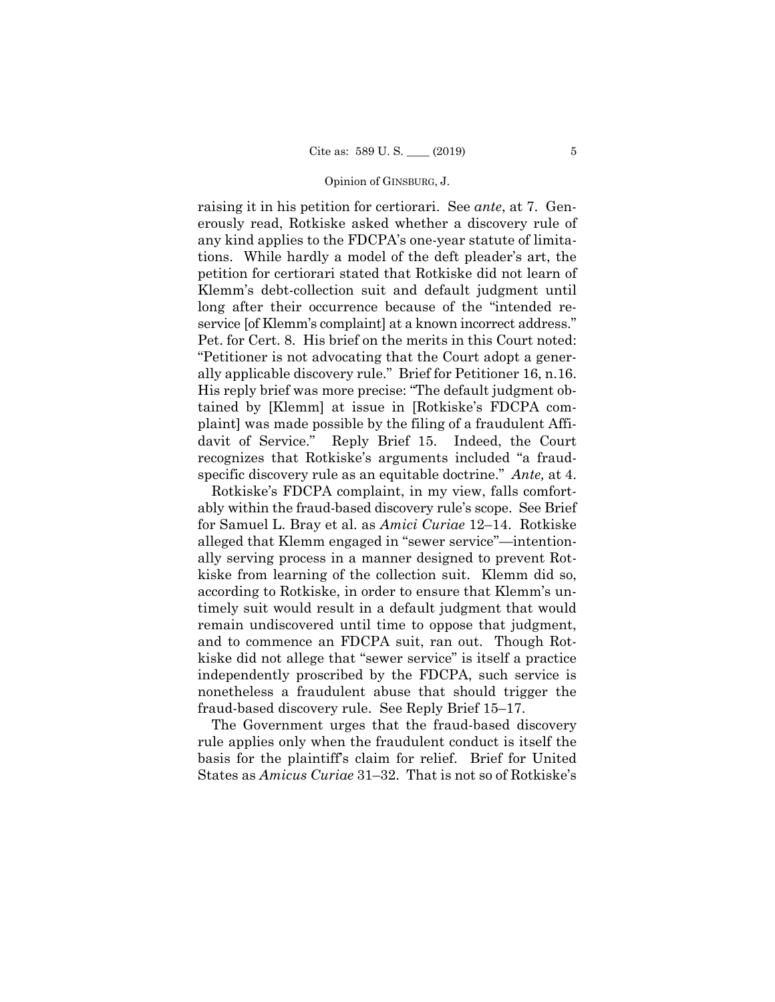service [of Klemm's complaint] at a known incorrect address." raising it in his petition for certiorari. See *ante*, at 7. Generously read, Rotkiske asked whether a discovery rule of any kind applies to the FDCPA's one-year statute of limitations. While hardly a model of the deft pleader's art, the petition for certiorari stated that Rotkiske did not learn of Klemm's debt-collection suit and default judgment until long after their occurrence because of the "intended re-Pet. for Cert. 8. His brief on the merits in this Court noted: "Petitioner is not advocating that the Court adopt a generally applicable discovery rule." Brief for Petitioner 16, n.16. His reply brief was more precise: "The default judgment obtained by [Klemm] at issue in [Rotkiske's FDCPA complaint] was made possible by the filing of a fraudulent Affidavit of Service." Reply Brief 15. Indeed, the Court recognizes that Rotkiske's arguments included "a fraudspecific discovery rule as an equitable doctrine." *Ante,* at 4.

 ably within the fraud-based discovery rule's scope. See Brief Rotkiske's FDCPA complaint, in my view, falls comfortfor Samuel L. Bray et al. as *Amici Curiae* 12–14. Rotkiske alleged that Klemm engaged in "sewer service"—intentionally serving process in a manner designed to prevent Rotkiske from learning of the collection suit. Klemm did so, according to Rotkiske, in order to ensure that Klemm's untimely suit would result in a default judgment that would remain undiscovered until time to oppose that judgment, and to commence an FDCPA suit, ran out. Though Rotkiske did not allege that "sewer service" is itself a practice independently proscribed by the FDCPA, such service is nonetheless a fraudulent abuse that should trigger the fraud-based discovery rule. See Reply Brief 15–17.

The Government urges that the fraud-based discovery rule applies only when the fraudulent conduct is itself the basis for the plaintiff's claim for relief. Brief for United States as *Amicus Curiae* 31–32. That is not so of Rotkiske's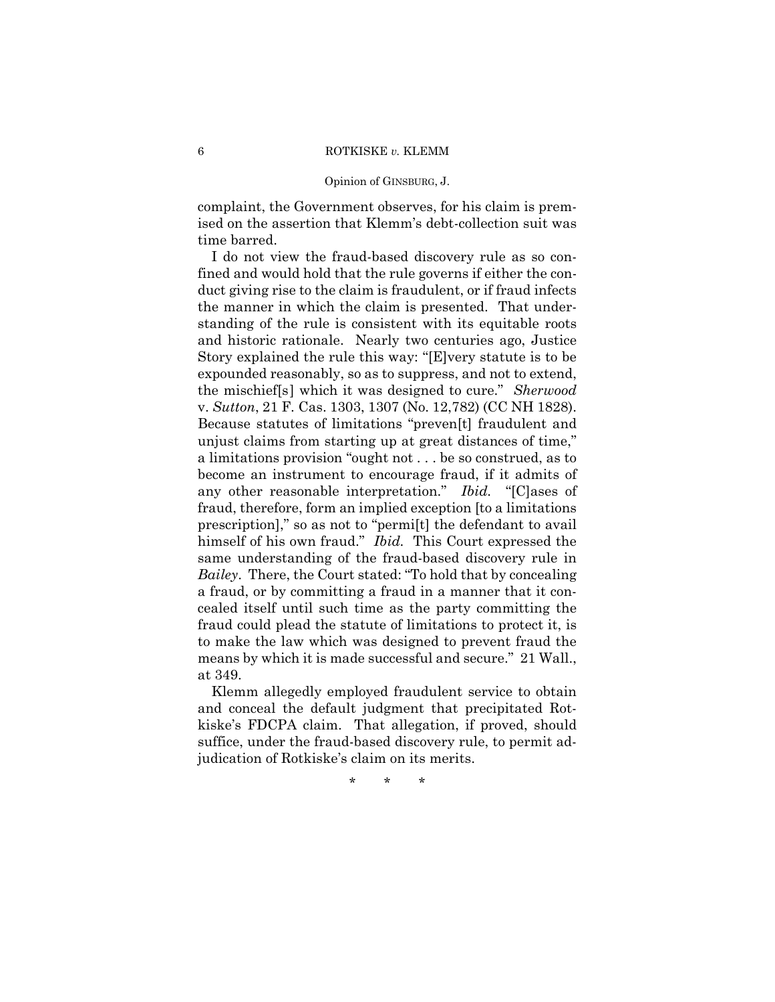#### Opinion of GINSBURG, J.

complaint, the Government observes, for his claim is premised on the assertion that Klemm's debt-collection suit was time barred.

I do not view the fraud-based discovery rule as so confined and would hold that the rule governs if either the conduct giving rise to the claim is fraudulent, or if fraud infects the manner in which the claim is presented. That understanding of the rule is consistent with its equitable roots and historic rationale. Nearly two centuries ago, Justice Story explained the rule this way: "[E]very statute is to be expounded reasonably, so as to suppress, and not to extend, the mischief[s] which it was designed to cure." *Sherwood*  v. *Sutton*, 21 F. Cas. 1303, 1307 (No. 12,782) (CC NH 1828). Because statutes of limitations "preven[t] fraudulent and unjust claims from starting up at great distances of time," a limitations provision "ought not . . . be so construed, as to become an instrument to encourage fraud, if it admits of any other reasonable interpretation." *Ibid.* "[C]ases of fraud, therefore, form an implied exception [to a limitations prescription]," so as not to "permi[t] the defendant to avail himself of his own fraud." *Ibid.* This Court expressed the same understanding of the fraud-based discovery rule in *Bailey*. There, the Court stated: "To hold that by concealing a fraud, or by committing a fraud in a manner that it concealed itself until such time as the party committing the fraud could plead the statute of limitations to protect it, is to make the law which was designed to prevent fraud the means by which it is made successful and secure." 21 Wall., at 349.

Klemm allegedly employed fraudulent service to obtain and conceal the default judgment that precipitated Rotkiske's FDCPA claim. That allegation, if proved, should suffice, under the fraud-based discovery rule, to permit adjudication of Rotkiske's claim on its merits.

\* \* \*